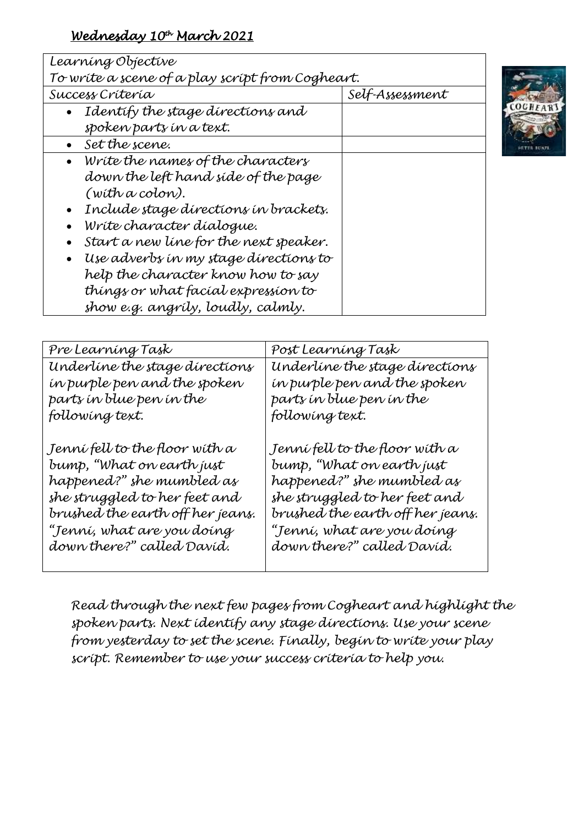| To write a scene of a play script from Cogheart.<br>Success Criteria | Self-Assessment |
|----------------------------------------------------------------------|-----------------|
| I dentify the stage directions and                                   |                 |
| spoken parts in a text.                                              |                 |
| Set the scene.<br>$\bullet$                                          |                 |
| Write the names of the characters<br>$\bullet$                       |                 |
| down the left hand side of the page                                  |                 |
| (with a colon).                                                      |                 |
| Include stage directions in brackets.                                |                 |
| Write character díalogue.                                            |                 |
| Start a new line for the next speaker.                               |                 |
| Use adverbs in my stage directions to                                |                 |
| help the character know how to say                                   |                 |
| thíngs or what facíal expression to                                  |                 |
| show e.g. angríly, loudly, calmly.                                   |                 |

| Pre Learníng Task                                                                                                                                                                                                         | Post Learning Task                                                                                                                                                                                                        |
|---------------------------------------------------------------------------------------------------------------------------------------------------------------------------------------------------------------------------|---------------------------------------------------------------------------------------------------------------------------------------------------------------------------------------------------------------------------|
| Underlíne the stage dírections                                                                                                                                                                                            | Underlíne the stage dírections                                                                                                                                                                                            |
| in purple pen and the spoken                                                                                                                                                                                              | in purple pen and the spoken                                                                                                                                                                                              |
| parts in blue pen in the                                                                                                                                                                                                  | parts in blue pen in the                                                                                                                                                                                                  |
| following text.                                                                                                                                                                                                           | following text.                                                                                                                                                                                                           |
| Jenní fell to the floor wíth a<br>bump, "What on earth just<br>happened?" she mumbled as<br>she struggled to her feet and<br>brushed the earth off her jeans.<br>"Jenní, what are you doing<br>down there?" called Davíd. | Jenní fell to the floor wíth a<br>bump, "What on earth just<br>happened?" she mumbled as<br>she struggled to her feet and<br>brushed the earth off her jeans.<br>"Jenní, what are you doíng<br>down there?" called Davíd. |

*Read through the next few pages from Cogheart and highlight the spoken parts. Next identify any stage directions. Use your scene from yesterday to set the scene. Finally, begin to write your play script. Remember to use your success criteria to help you.*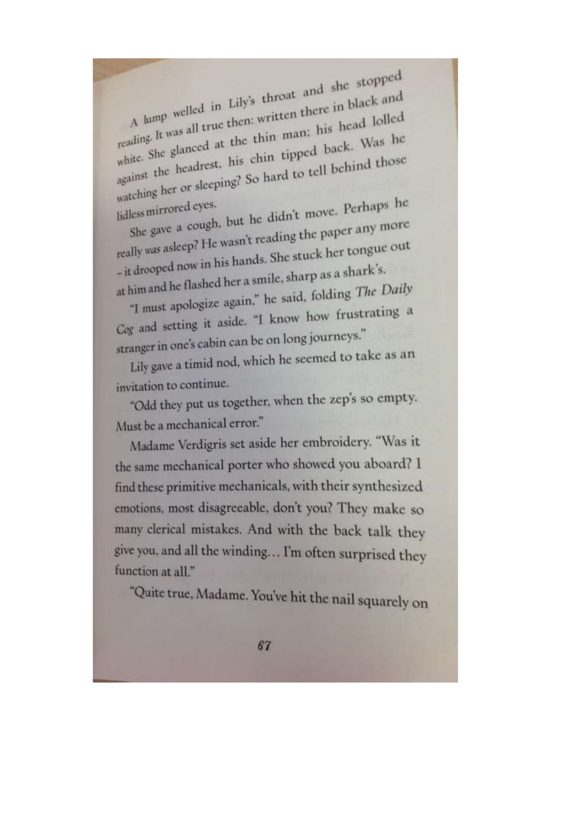A lump welled in Lily's throat and she stopped reading. It was all true then: written there in black and white. She glanced at the thin man; his head lolled against the headrest, his chin tipped back. Was he watching her or sleeping? So hard to tell behind those

She gave a cough, but he didn't move. Perhaps he lidless mirrored eyes. really was asleep? He wasn't reading the paper any more - it drooped now in his hands. She stuck her tongue out at him and he flashed her a smile, sharp as a shark's.

"I must apologize again," he said, folding The Daily Cog and setting it aside. "I know how frustrating a stranger in one's cabin can be on long journeys."

Lily gave a timid nod, which he seemed to take as an invitation to continue.

"Odd they put us together, when the zep's so empty. Must be a mechanical error."

Madame Verdigris set aside her embroidery. "Was it the same mechanical porter who showed you aboard? I find these primitive mechanicals, with their synthesized emotions, most disagreeable, don't you? They make so many clerical mistakes. And with the back talk they give you, and all the winding... I'm often surprised they function at all."

"Quite true, Madame. You've hit the nail squarely on

67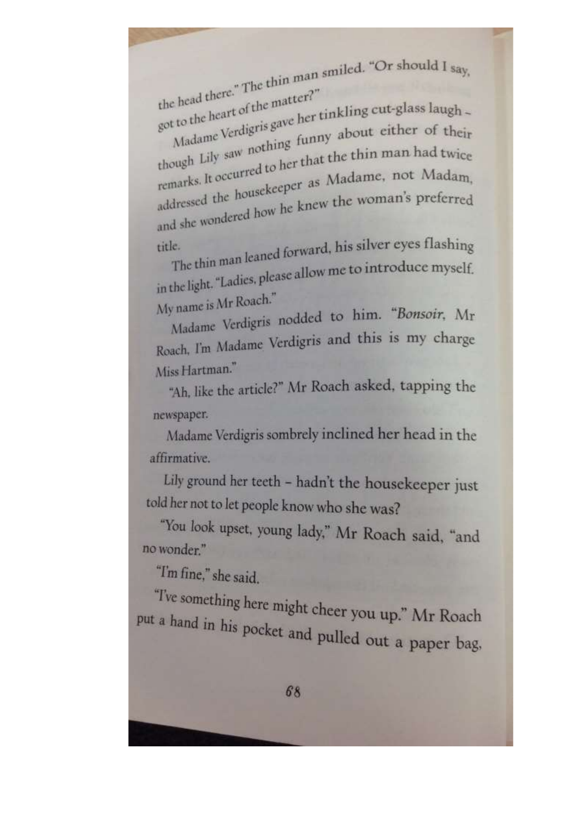the head there." The thin man smiled. "Or should I say,

got to the heart of the matter?" t to the near the save her tinkling cut-glass laugh

Madame version funny about either of their though Line of the that the thin man had twice remarks. A Lie housekeeper as Madame, not Madam, add she wondered how he knew the woman's preferred

The thin man leaned forward, his silver eyes flashing title. in the light. "Ladies, please allow me to introduce myself, My name is Mr Roach."

Madame Verdigris nodded to him. "Bonsoir, Mr Roach, I'm Madame Verdigris and this is my charge Miss Hartman."

"Ah, like the article?" Mr Roach asked, tapping the newspaper.

Madame Verdigris sombrely inclined her head in the affirmative.

Lily ground her teeth - hadn't the housekeeper just told her not to let people know who she was?

"You look upset, young lady," Mr Roach said, "and no wonder."

"I'm fine." she said.

"I've something here might cheer you up." Mr Roach put a hand in his pocket and pulled out a paper bag,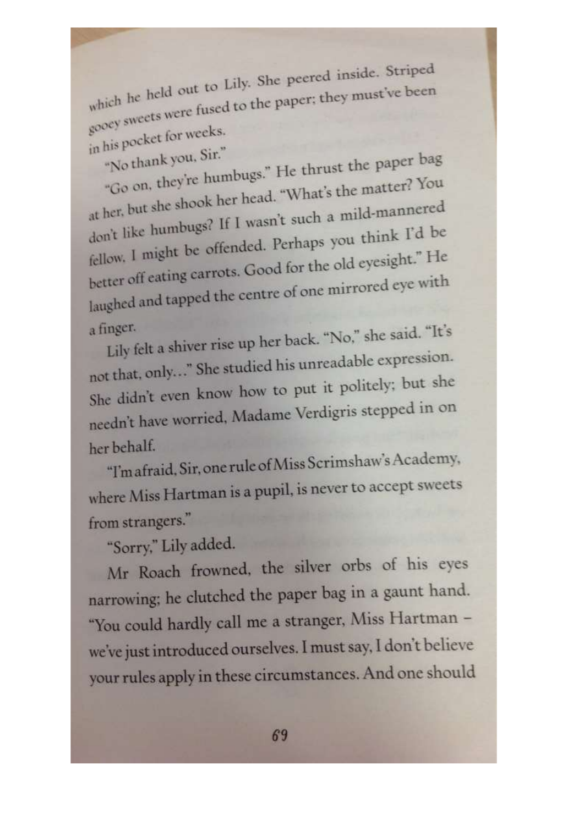which he held out to Lily. She peered inside. Striped gooey sweets were fused to the paper; they must've been in his pocket for weeks.

"No thank you, Sir."

"Go on, they're humbugs." He thrust the paper bag at her, but she shook her head. "What's the matter? You don't like humbugs? If I wasn't such a mild-mannered fellow. I might be offended. Perhaps you think I'd be better off eating carrots. Good for the old eyesight." He laughed and tapped the centre of one mirrored eye with

a finger. Lily felt a shiver rise up her back. "No," she said. "It's not that, only..." She studied his unreadable expression. She didn't even know how to put it politely; but she needn't have worried, Madame Verdigris stepped in on her behalf.

"I'm afraid, Sir, one rule of Miss Scrimshaw's Academy, where Miss Hartman is a pupil, is never to accept sweets from strangers."

"Sorry," Lily added.

Mr Roach frowned, the silver orbs of his eyes narrowing; he clutched the paper bag in a gaunt hand. "You could hardly call me a stranger, Miss Hartman we've just introduced ourselves. I must say, I don't believe your rules apply in these circumstances. And one should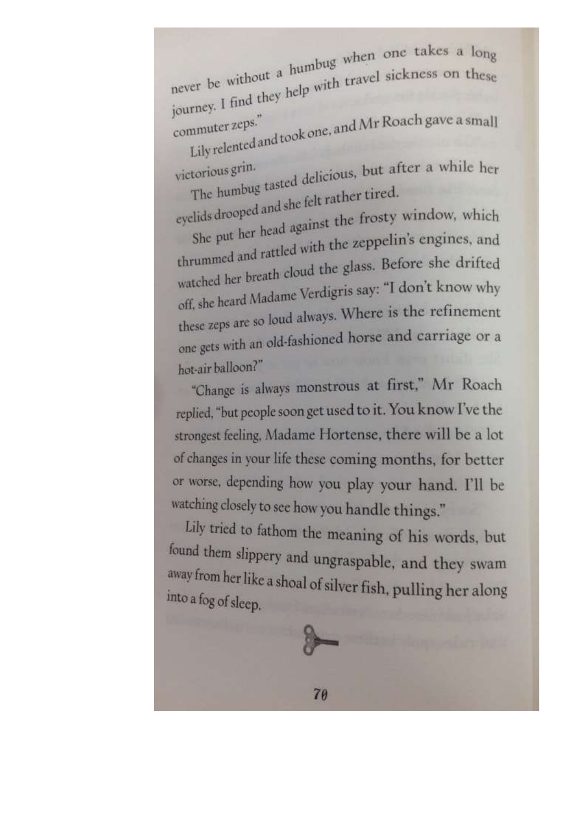never be without a humbug when one takes a long hever be without in the with travel sickness on these journey. I find they help with travel sickness on these

Lily relented and took one, and Mr Roach gave a small commuter zeps."

The humbug tasted delicious, but after a while her victorious grin.

eyelids drooped and she felt rather tired. She put her head against the frosty window, which thrummed and rattled with the zeppelin's engines, and watched her breath cloud the glass. Before she drifted off, she heard Madame Verdigris say: "I don't know why these zeps are so loud always. Where is the refinement one gets with an old-fashioned horse and carriage or a hot-air balloon?"

"Change is always monstrous at first," Mr Roach replied, "but people soon get used to it. You know I've the strongest feeling, Madame Hortense, there will be a lot of changes in your life these coming months, for better or worse, depending how you play your hand. I'll be watching closely to see how you handle things."

Lily tried to fathom the meaning of his words, but found them slippery and ungraspable, and they swam away from her like a shoal of silver fish, pulling her along into a fog of sleep.



70